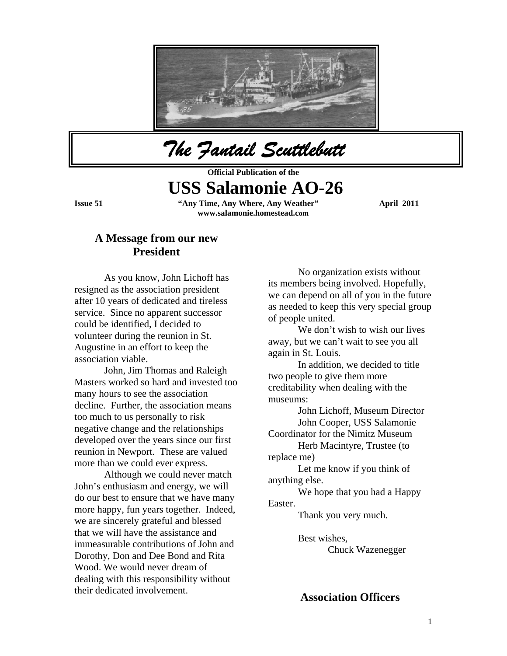

*The Fantail Scuttlebutt* 

**Official Publication of the** 

# **USS Salamonie AO-26**

**Issue 51 "Any Time, Any Where, Any Weather" April 2011 www.salamonie.homestead.com**

### **A Message from our new President**

As you know, John Lichoff has resigned as the association president after 10 years of dedicated and tireless service. Since no apparent successor could be identified, I decided to volunteer during the reunion in St. Augustine in an effort to keep the association viable.

 John, Jim Thomas and Raleigh Masters worked so hard and invested too many hours to see the association decline. Further, the association means too much to us personally to risk negative change and the relationships developed over the years since our first reunion in Newport. These are valued more than we could ever express.

 Although we could never match John's enthusiasm and energy, we will do our best to ensure that we have many more happy, fun years together. Indeed, we are sincerely grateful and blessed that we will have the assistance and immeasurable contributions of John and Dorothy, Don and Dee Bond and Rita Wood. We would never dream of dealing with this responsibility without their dedicated involvement.

as needed to keep this very special group No organization exists without its members being involved. Hopefully, we can depend on all of you in the future of people united.

away, but we can't wait to see you all We don't wish to wish our lives again in St. Louis.

In addition, we decided to title creditability when dealing with the museums: two people to give them more

John Lichoff, Museum Director John Cooper, USS Salamonie

Coordinator for the Nimitz Museum

Herb Macintyre, Trustee (to replace me)

 Let me know if you think of anything else.

We hope that you had a Happy Easter.

Thank you very much.

 Chuck Wazenegger Best wishes,

**Association Officers**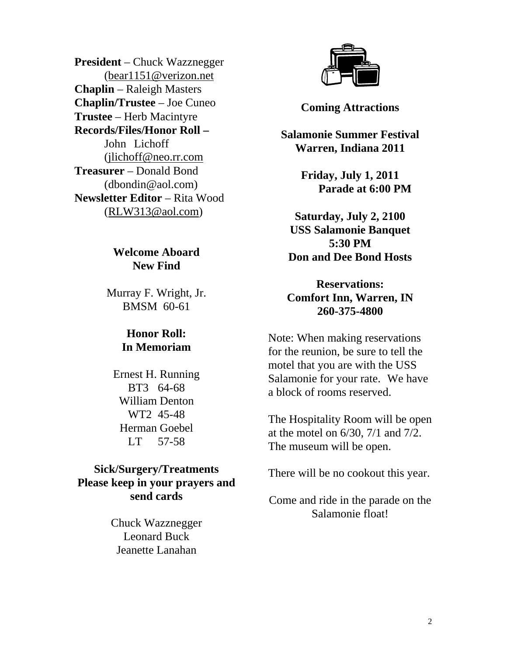**President** – Chuck Wazznegger (bear1151@verizon.net **Chaplin/Trustee** – Joe Cuneo **– Records/Files/Honor Roll Chaplin** – Raleigh Masters **Trustee** – Herb Macintyre John Lichoff (jlichoff@neo.rr.com **Newsletter Editor** – Rita Wood (RLW313@aol.com ) **Treasurer** – Donald Bond (dbondin@aol.com)

# **Welcome Aboard New Find**

Murray F. Wright, Jr. BMSM 60-61

# **In Memoriam Honor Roll:**

Ernest H. Running W illiam Denton H erman Goebel LT 57-58 BT3 64-68 WT2 45-48

# **Please keep in your prayers and send cards Sick/Surgery/Treatments**

Chuck Wazznegger Jeanette Lanahan Leonard Buck



**Coming Attractions** 

**Salamonie Summer Festival**  Warren, Indiana 2011

> **Friday, July 1, 2011 Parade at 6:00 PM**

**USS Salamonie Banquet Saturday, July 2, 2100 5:30 PM Don and Dee Bond Hosts** 

**Reservations: Comfort Inn, Warren, IN 260-375-4800** 

for the reunion, be sure to tell the Note: When making reservations motel that you are with the USS Salamonie for your rate. We have a block of rooms reserved.

The Hospitality Room will be open at the motel on 6/30, 7/1 and 7/2. The museum will be open.

There will be no cookout this year.

Come and ride in the parade on the Salamonie float!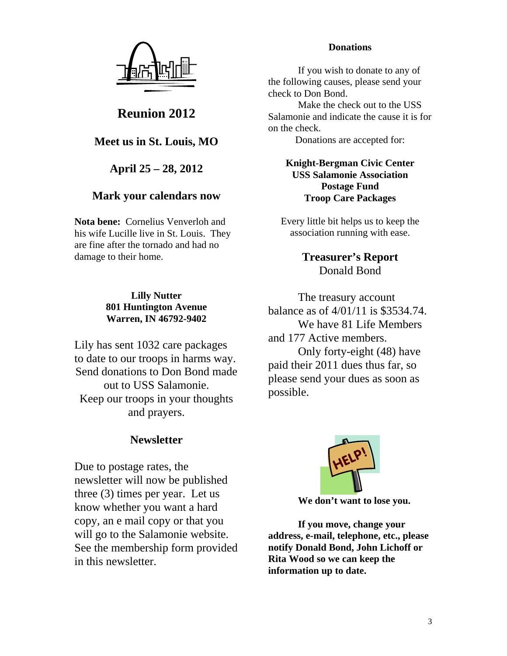

**Reunion 2012** 

**Meet us in St. Louis, MO** 

**April 25 – 28, 2012** 

# **Mark your calendars now**

Nota bene: Cornelius Venverloh and his wife Lucille live in St. Louis. They are fine after the tornado and had no damage to their home.

### **Lilly Nutter 801 Huntington Avenue Warren, IN 46792-9402**

Lily has sent 1032 care packages to date to our troops in harms way. Send donations to Don Bond made out to USS Salamonie. Keep our troops in your thoughts and prayers.

# **Newsletter**

newsletter will now be published three (3) times per year. Let us know whether you want a hard copy, an e mail copy or that you See the membership form provided Due to postage rates, the will go to the Salamonie website. in this newsletter.

### **Donations**

If you wish to donate to any of the following causes, please send your check to Don Bond.

Salamonie and indicate the cause it is for on the check. Make the check out to the USS

Donations are accepted for:

#### **Postage Fund Knight-Bergman Civic Center USS Salamonie Association Troop Care Packages**

Every little bit helps us to keep the association running with ease.

> **Treasurer's Report**  Donald Bond

balance as of 4/01/11 is \$3534.74. and 177 Active members. The treasury account We have 81 Life Members

Only forty-eight  $(48)$  have paid their 2011 dues thus far, so please send your dues as soon as possible.



 **We don't want to lose you.** 

 **If you move, change your address, e-mail, telephone, etc., please notify Donald Bond, John Lichoff or Rita Wood so w e can keep the information up to date.**